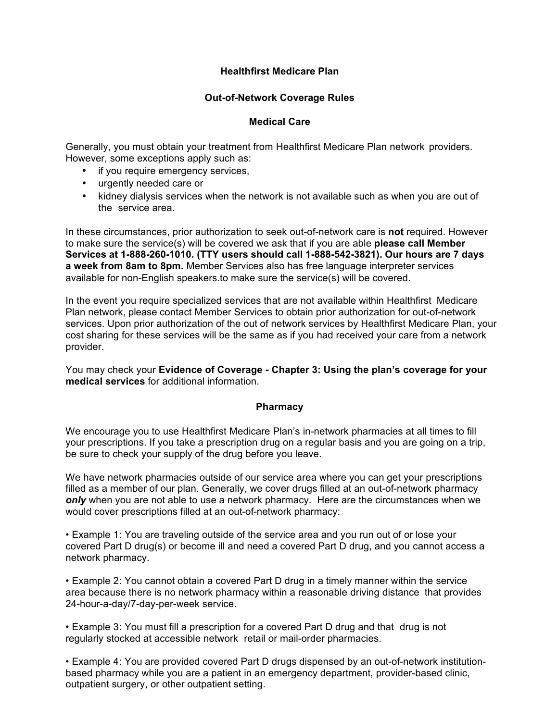## **Healthfirst Medicare Plan**

## **Out-of-Network Coverage Rules**

## **Medical Care**

Generally, you must obtain your treatment from Healthfirst Medicare Plan network providers. However, some exceptions apply such as:

- if you require emergency services,
- urgently needed care or
- kidney dialysis services when the network is not available such as when you are out of the service area.

 to make sure the service(s) will be covered we ask that if you are able **please call Member Services at 1-888-260-1010. (TTY users should call 1-888-542-3821). Our hours are 7 days a week from 8am to 8pm.** Member Services also has free language interpreter services In these circumstances, prior authorization to seek out-of-network care is **not** required. However available for non-English speakers.to make sure the service(s) will be covered.

 services. Upon prior authorization of the out of network services by Healthfirst Medicare Plan, your In the event you require specialized services that are not available within Healthfirst Medicare Plan network, please contact Member Services to obtain prior authorization for out-of-network cost sharing for these services will be the same as if you had received your care from a network provider.

You may check your **Evidence of Coverage - Chapter 3: Using the plan's coverage for your medical services** for additional information.

## **Pharmacy**

We encourage you to use Healthfirst Medicare Plan's in-network pharmacies at all times to fill your prescriptions. If you take a prescription drug on a regular basis and you are going on a trip, be sure to check your supply of the drug before you leave.

 filled as a member of our plan. Generally, we cover drugs filled at an out-of-network pharmacy We have network pharmacies outside of our service area where you can get your prescriptions *only* when you are not able to use a network pharmacy. Here are the circumstances when we would cover prescriptions filled at an out-of-network pharmacy:

• Example 1: You are traveling outside of the service area and you run out of or lose your covered Part D drug(s) or become ill and need a covered Part D drug, and you cannot access a network pharmacy.

• Example 2: You cannot obtain a covered Part D drug in a timely manner within the service area because there is no network pharmacy within a reasonable driving distance that provides 24-hour-a-day/7-day-per-week service.

• Example 3: You must fill a prescription for a covered Part D drug and that drug is not regularly stocked at accessible network retail or mail-order pharmacies.

• Example 4: You are provided covered Part D drugs dispensed by an out-of-network institutionbased pharmacy while you are a patient in an emergency department, provider-based clinic, outpatient surgery, or other outpatient setting.